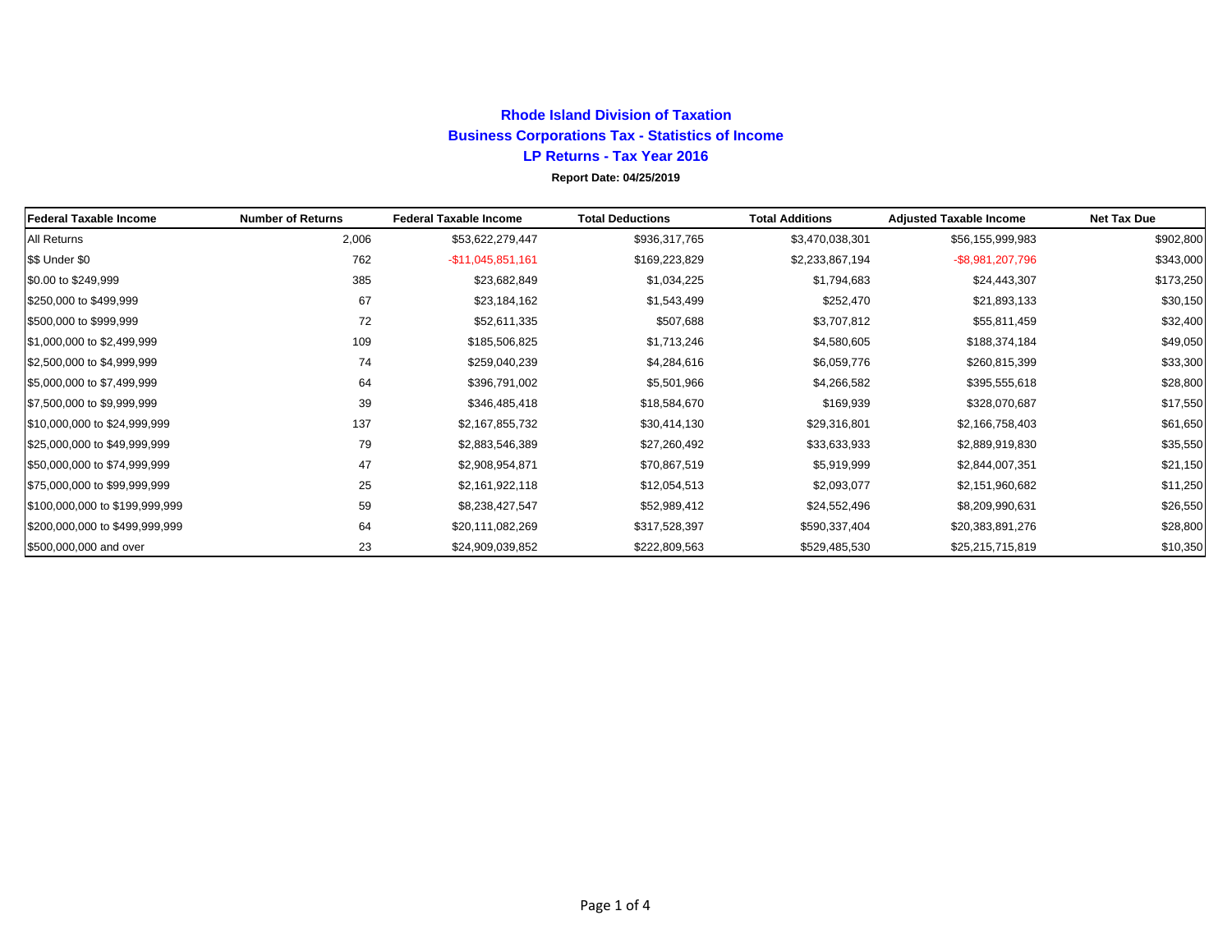## **Rhode Island Division of TaxationBusiness Corporations Tax - Statistics of Income LP Returns - Tax Year 2016 Report Date: 04/25/2019**

| <b>Federal Taxable Income</b>  | <b>Number of Returns</b> | <b>Federal Taxable Income</b> | <b>Total Deductions</b> | <b>Total Additions</b> | <b>Adjusted Taxable Income</b> | <b>Net Tax Due</b> |
|--------------------------------|--------------------------|-------------------------------|-------------------------|------------------------|--------------------------------|--------------------|
| All Returns                    | 2,006                    | \$53,622,279,447              | \$936,317,765           | \$3,470,038,301        | \$56,155,999,983               | \$902,800          |
| \$\$ Under \$0                 | 762                      | -\$11,045,851,161             | \$169,223,829           | \$2,233,867,194        | $-$ \$8,981,207,796            | \$343,000          |
| \$0.00 to \$249,999            | 385                      | \$23,682,849                  | \$1,034,225             | \$1,794,683            | \$24,443,307                   | \$173,250          |
| \$250,000 to \$499,999         | 67                       | \$23,184,162                  | \$1,543,499             | \$252,470              | \$21,893,133                   | \$30,150           |
| \$500,000 to \$999,999         | 72                       | \$52,611,335                  | \$507,688               | \$3,707,812            | \$55,811,459                   | \$32,400           |
| \$1,000,000 to \$2,499,999     | 109                      | \$185,506,825                 | \$1,713,246             | \$4,580,605            | \$188,374,184                  | \$49,050           |
| \$2,500,000 to \$4,999,999     | 74                       | \$259,040,239                 | \$4,284,616             | \$6,059,776            | \$260,815,399                  | \$33,300           |
| \$5,000,000 to \$7,499,999     | 64                       | \$396,791,002                 | \$5,501,966             | \$4,266,582            | \$395,555,618                  | \$28,800           |
| \$7,500,000 to \$9,999,999     | 39                       | \$346,485,418                 | \$18,584,670            | \$169,939              | \$328,070,687                  | \$17,550           |
| \$10,000,000 to \$24,999,999   | 137                      | \$2,167,855,732               | \$30,414,130            | \$29,316,801           | \$2,166,758,403                | \$61,650           |
| \$25,000,000 to \$49,999,999   | 79                       | \$2,883,546,389               | \$27,260,492            | \$33,633,933           | \$2,889,919,830                | \$35,550           |
| \$50,000,000 to \$74,999,999   | 47                       | \$2,908,954,871               | \$70,867,519            | \$5,919,999            | \$2,844,007,351                | \$21,150           |
| \$75,000,000 to \$99,999,999   | 25                       | \$2,161,922,118               | \$12,054,513            | \$2,093,077            | \$2,151,960,682                | \$11,250           |
| \$100,000,000 to \$199,999,999 | 59                       | \$8,238,427,547               | \$52,989,412            | \$24,552,496           | \$8,209,990,631                | \$26,550           |
| \$200,000,000 to \$499,999,999 | 64                       | \$20,111,082,269              | \$317,528,397           | \$590,337,404          | \$20,383,891,276               | \$28,800           |
| \$500,000,000 and over         | 23                       | \$24,909,039,852              | \$222,809,563           | \$529,485,530          | \$25,215,715,819               | \$10,350           |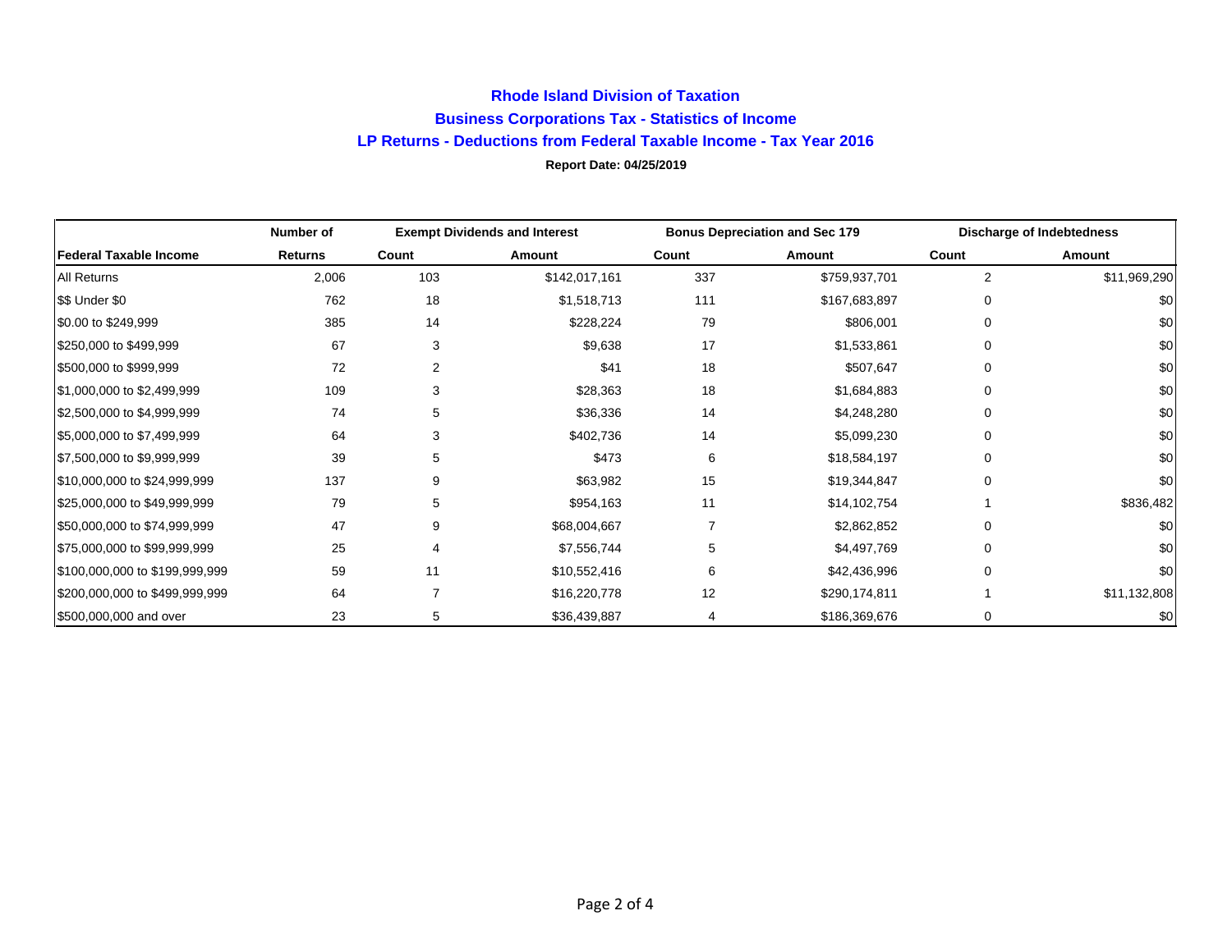## **Rhode Island Division of Taxation Business Corporations Tax - Statistics of Income LP Returns - Deductions from Federal Taxable Income - Tax Year 2016 Report Date: 04/25/2019**

|                                | Number of | <b>Exempt Dividends and Interest</b> |               | <b>Bonus Depreciation and Sec 179</b> |               | <b>Discharge of Indebtedness</b> |              |
|--------------------------------|-----------|--------------------------------------|---------------|---------------------------------------|---------------|----------------------------------|--------------|
| <b>Federal Taxable Income</b>  | Returns   | Count                                | Amount        | Count                                 | Amount        | Count                            | Amount       |
| All Returns                    | 2,006     | 103                                  | \$142,017,161 | 337                                   | \$759,937,701 | 2                                | \$11,969,290 |
| \$\$ Under \$0                 | 762       | 18                                   | \$1,518,713   | 111                                   | \$167,683,897 | 0                                | \$0          |
| \$0.00 to \$249,999            | 385       | 14                                   | \$228,224     | 79                                    | \$806,001     | $\Omega$                         | \$0          |
| \$250,000 to \$499,999         | 67        | 3                                    | \$9,638       | 17                                    | \$1,533,861   | $\Omega$                         | \$0          |
| \$500,000 to \$999,999         | 72        | 2                                    | \$41          | 18                                    | \$507,647     | $\Omega$                         | \$0          |
| \$1,000,000 to \$2,499,999     | 109       | 3                                    | \$28,363      | 18                                    | \$1,684,883   | $\Omega$                         | \$0          |
| \$2,500,000 to \$4,999,999     | 74        | 5                                    | \$36,336      | 14                                    | \$4,248,280   | $\Omega$                         | \$0          |
| \$5,000,000 to \$7,499,999     | 64        | 3                                    | \$402,736     | 14                                    | \$5,099,230   | 0                                | \$0          |
| \$7,500,000 to \$9,999,999     | 39        | 5                                    | \$473         | 6                                     | \$18,584,197  | 0                                | \$0          |
| \$10,000,000 to \$24,999,999   | 137       | 9                                    | \$63,982      | 15                                    | \$19,344,847  | $\Omega$                         | \$0          |
| \$25,000,000 to \$49,999,999   | 79        | 5                                    | \$954,163     | 11                                    | \$14,102,754  |                                  | \$836,482    |
| \$50,000,000 to \$74,999,999   | 47        | 9                                    | \$68,004,667  | 7                                     | \$2,862,852   | O                                | \$0          |
| \$75,000,000 to \$99,999,999   | 25        | 4                                    | \$7,556,744   |                                       | \$4,497,769   | 0                                | \$0          |
| \$100,000,000 to \$199,999,999 | 59        | 11                                   | \$10,552,416  | 6                                     | \$42,436,996  | $\Omega$                         | \$0          |
| \$200,000,000 to \$499,999,999 | 64        | 7                                    | \$16,220,778  | 12                                    | \$290,174,811 |                                  | \$11,132,808 |
| \$500,000,000 and over         | 23        | 5                                    | \$36,439,887  | 4                                     | \$186,369,676 | 0                                | \$0          |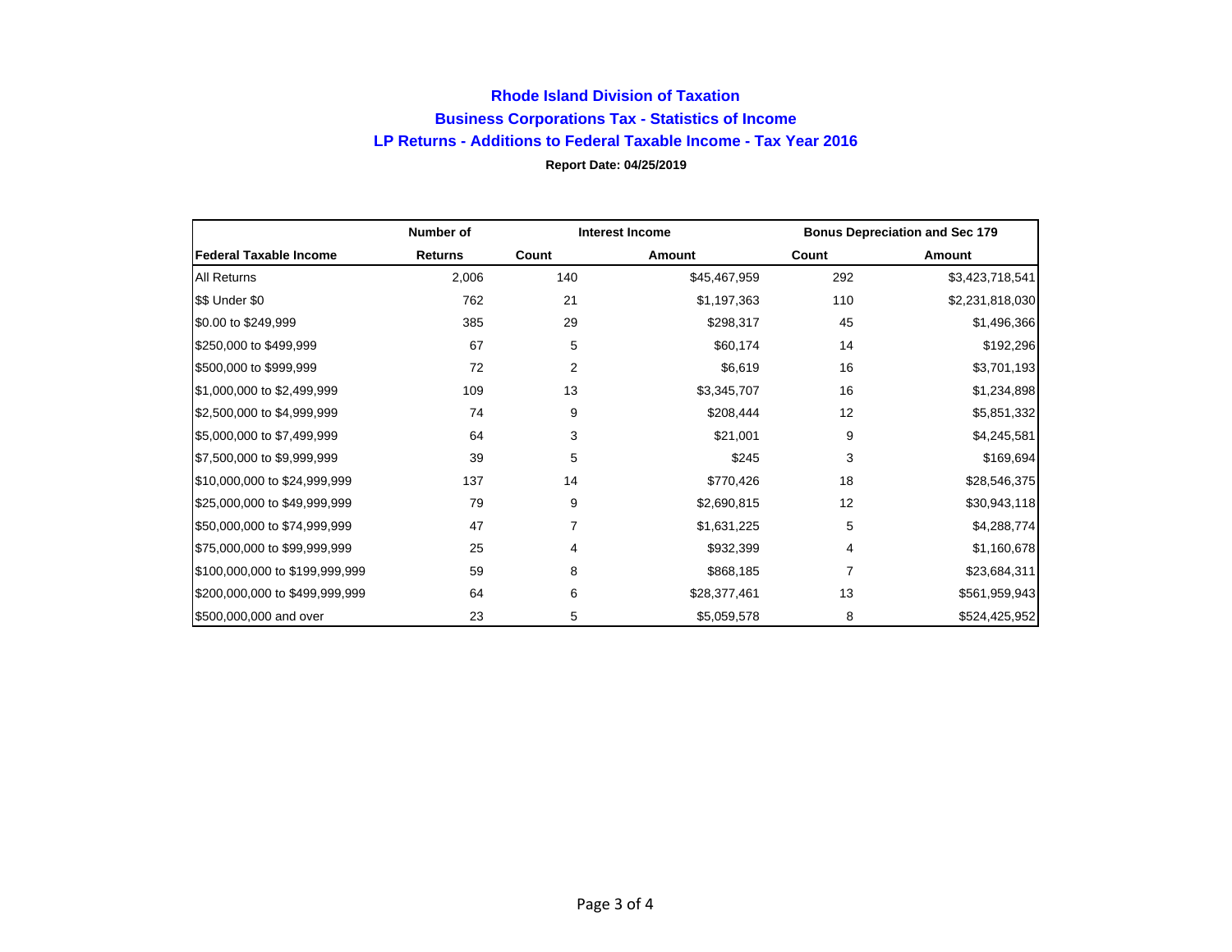## **Rhode Island Division of Taxation Business Corporations Tax - Statistics of Income LP Returns - Additions to Federal Taxable Income - Tax Year 2016 Report Date: 04/25/2019**

|                                | Number of      | <b>Interest Income</b> |              | <b>Bonus Depreciation and Sec 179</b> |                 |
|--------------------------------|----------------|------------------------|--------------|---------------------------------------|-----------------|
| <b>Federal Taxable Income</b>  | <b>Returns</b> | Count                  | Amount       | Count                                 | Amount          |
| <b>All Returns</b>             | 2,006          | 140                    | \$45,467,959 | 292                                   | \$3,423,718,541 |
| \$\$ Under \$0                 | 762            | 21                     | \$1,197,363  | 110                                   | \$2,231,818,030 |
| \$0.00 to \$249,999            | 385            | 29                     | \$298,317    | 45                                    | \$1,496,366     |
| \$250,000 to \$499,999         | 67             | 5                      | \$60,174     | 14                                    | \$192,296       |
| \$500,000 to \$999,999         | 72             | 2                      | \$6,619      | 16                                    | \$3,701,193     |
| \$1,000,000 to \$2,499,999     | 109            | 13                     | \$3,345,707  | 16                                    | \$1,234,898     |
| \$2,500,000 to \$4,999,999     | 74             | 9                      | \$208,444    | 12                                    | \$5,851,332     |
| \$5,000,000 to \$7,499,999     | 64             | 3                      | \$21,001     | 9                                     | \$4,245,581     |
| \$7,500,000 to \$9,999,999     | 39             | 5                      | \$245        | 3                                     | \$169,694       |
| \$10,000,000 to \$24,999,999   | 137            | 14                     | \$770,426    | 18                                    | \$28,546,375    |
| \$25,000,000 to \$49,999,999   | 79             | 9                      | \$2,690,815  | 12                                    | \$30,943,118    |
| \$50,000,000 to \$74,999,999   | 47             | 7                      | \$1,631,225  | 5                                     | \$4,288,774     |
| \$75,000,000 to \$99,999,999   | 25             | 4                      | \$932,399    | 4                                     | \$1,160,678     |
| \$100,000,000 to \$199,999,999 | 59             | 8                      | \$868,185    | 7                                     | \$23,684,311    |
| \$200,000,000 to \$499,999,999 | 64             | 6                      | \$28,377,461 | 13                                    | \$561,959,943   |
| \$500,000,000 and over         | 23             | 5                      | \$5,059,578  | 8                                     | \$524,425,952   |